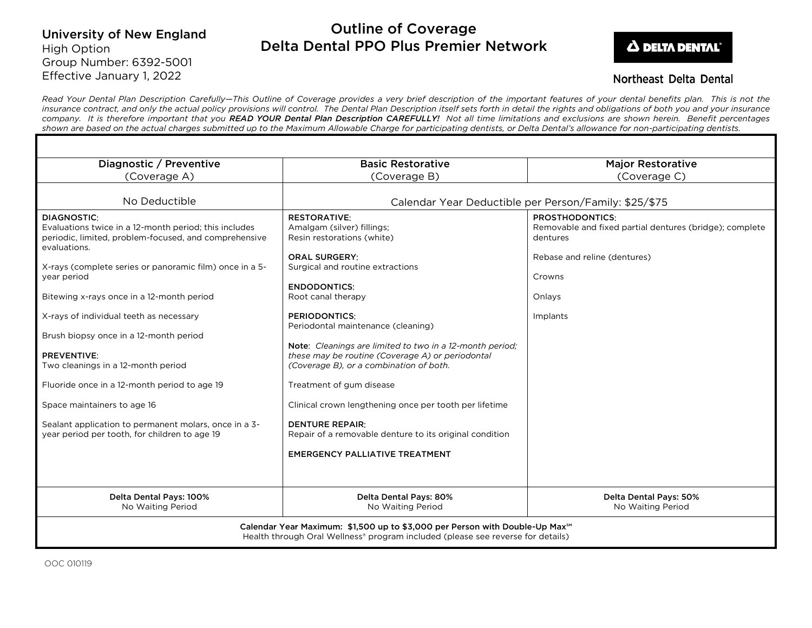# University of New England High Option Group Number: 6392-5001 Effective January 1, 2022

# Outline of Coverage Delta Dental PPO Plus Premier Network



## **Northeast Delta Dental**

*Read Your Dental Plan Description Carefully—This Outline of Coverage provides a very brief description of the important features of your dental benefits plan. This is not the insurance contract, and only the actual policy provisions will control. The Dental Plan Description itself sets forth in detail the rights and obligations of both you and your insurance company. It is therefore important that you READ YOUR Dental Plan Description CAREFULLY! Not all time limitations and exclusions are shown herein. Benefit percentages shown are based on the actual charges submitted up to the Maximum Allowable Charge for participating dentists, or Delta Dental's allowance for non-participating dentists.*

| Diagnostic / Preventive                                                                                                                                                                                                                                                                                                                | <b>Basic Restorative</b>                                                                                                                                                                                                                                                                                                                                                                                                                  | <b>Major Restorative</b>                                                                                                                          |
|----------------------------------------------------------------------------------------------------------------------------------------------------------------------------------------------------------------------------------------------------------------------------------------------------------------------------------------|-------------------------------------------------------------------------------------------------------------------------------------------------------------------------------------------------------------------------------------------------------------------------------------------------------------------------------------------------------------------------------------------------------------------------------------------|---------------------------------------------------------------------------------------------------------------------------------------------------|
| (Coverage A)                                                                                                                                                                                                                                                                                                                           | (Coverage B)                                                                                                                                                                                                                                                                                                                                                                                                                              | (Coverage C)                                                                                                                                      |
|                                                                                                                                                                                                                                                                                                                                        |                                                                                                                                                                                                                                                                                                                                                                                                                                           |                                                                                                                                                   |
| No Deductible                                                                                                                                                                                                                                                                                                                          | Calendar Year Deductible per Person/Family: \$25/\$75                                                                                                                                                                                                                                                                                                                                                                                     |                                                                                                                                                   |
| DIAGNOSTIC:<br>Evaluations twice in a 12-month period; this includes<br>periodic, limited, problem-focused, and comprehensive<br>evaluations.<br>X-rays (complete series or panoramic film) once in a 5-<br>year period<br>Bitewing x-rays once in a 12-month period                                                                   | <b>RESTORATIVE:</b><br>Amalgam (silver) fillings;<br>Resin restorations (white)<br><b>ORAL SURGERY:</b><br>Surgical and routine extractions<br><b>ENDODONTICS:</b><br>Root canal therapy                                                                                                                                                                                                                                                  | <b>PROSTHODONTICS:</b><br>Removable and fixed partial dentures (bridge); complete<br>dentures<br>Rebase and reline (dentures)<br>Crowns<br>Onlays |
| X-rays of individual teeth as necessary<br>Brush biopsy once in a 12-month period<br><b>PREVENTIVE:</b><br>Two cleanings in a 12-month period<br>Fluoride once in a 12-month period to age 19<br>Space maintainers to age 16<br>Sealant application to permanent molars, once in a 3-<br>year period per tooth, for children to age 19 | <b>PERIODONTICS:</b><br>Periodontal maintenance (cleaning)<br>Note: Cleanings are limited to two in a 12-month period:<br>these may be routine (Coverage A) or periodontal<br>(Coverage B), or a combination of both.<br>Treatment of gum disease<br>Clinical crown lengthening once per tooth per lifetime<br><b>DENTURE REPAIR:</b><br>Repair of a removable denture to its original condition<br><b>EMERGENCY PALLIATIVE TREATMENT</b> | Implants                                                                                                                                          |
| Delta Dental Pays: 100%<br>No Waiting Period                                                                                                                                                                                                                                                                                           | Delta Dental Pays: 80%<br>No Waiting Period                                                                                                                                                                                                                                                                                                                                                                                               | Delta Dental Pays: 50%<br>No Waiting Period                                                                                                       |
| Calendar Year Maximum: \$1,500 up to \$3,000 per Person with Double-Up Max <sup>5M</sup><br>Health through Oral Wellness® program included (please see reverse for details)                                                                                                                                                            |                                                                                                                                                                                                                                                                                                                                                                                                                                           |                                                                                                                                                   |

OOC 010119